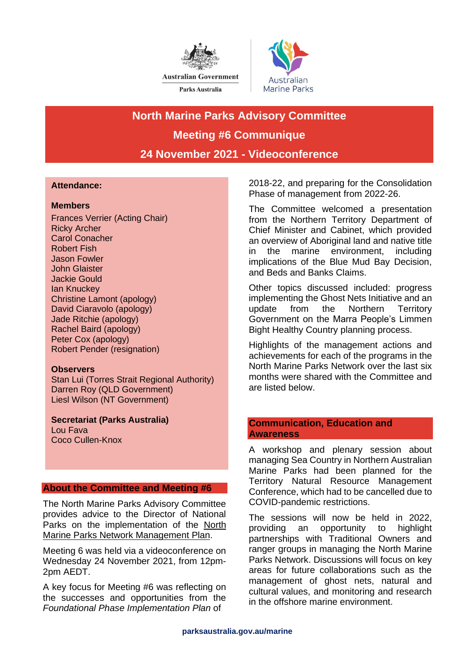



# **North Marine Parks Advisory Committee Meeting #6 Communique 24 November 2021 - Videoconference**

## **Attendance:**

## **Members**

Frances Verrier (Acting Chair) Ricky Archer Carol Conacher Robert Fish Jason Fowler John Glaister Jackie Gould Ian Knuckey Christine Lamont (apology) David Ciaravolo (apology) Jade Ritchie (apology) Rachel Baird (apology) Peter Cox (apology) Robert Pender (resignation)

## **Observers**

Stan Lui (Torres Strait Regional Authority) Darren Roy (QLD Government) Liesl Wilson (NT Government)

**Secretariat (Parks Australia)** Lou Fava Coco Cullen-Knox

## **About the Committee and Meeting #6**

The North Marine Parks Advisory Committee provides advice to the Director of National Parks on the implementation of the [North](https://www.legislation.gov.au/Details/F2018L00324/Explanatory%20Statement/Text#:~:text=The%20North%20Marine%20Parks%20Network%20Management%20Plan%202018,network.%20Structure%20and%20Content%20of%20the%20Management%20Plan)  [Marine Parks Network Management Plan.](https://www.legislation.gov.au/Details/F2018L00324/Explanatory%20Statement/Text#:~:text=The%20North%20Marine%20Parks%20Network%20Management%20Plan%202018,network.%20Structure%20and%20Content%20of%20the%20Management%20Plan)

Meeting 6 was held via a videoconference on Wednesday 24 November 2021, from 12pm-2pm AEDT.

A key focus for Meeting #6 was reflecting on the successes and opportunities from the *Foundational Phase Implementation Plan* of

2018-22, and preparing for the Consolidation Phase of management from 2022-26.

The Committee welcomed a presentation from the Northern Territory Department of Chief Minister and Cabinet, which provided an overview of Aboriginal land and native title in the marine environment, including implications of the Blue Mud Bay Decision, and Beds and Banks Claims.

Other topics discussed included: progress implementing the Ghost Nets Initiative and an update from the Northern Territory Government on the Marra People's Limmen Bight Healthy Country planning process.

Highlights of the management actions and achievements for each of the programs in the North Marine Parks Network over the last six months were shared with the Committee and are listed below.

## **Communication, Education and Awareness**

A workshop and plenary session about managing Sea Country in Northern Australian Marine Parks had been planned for the Territory Natural Resource Management Conference, which had to be cancelled due to COVID-pandemic restrictions.

The sessions will now be held in 2022, providing an opportunity to highlight partnerships with Traditional Owners and ranger groups in managing the North Marine Parks Network. Discussions will focus on key areas for future collaborations such as the management of ghost nets, natural and cultural values, and monitoring and research in the offshore marine environment.